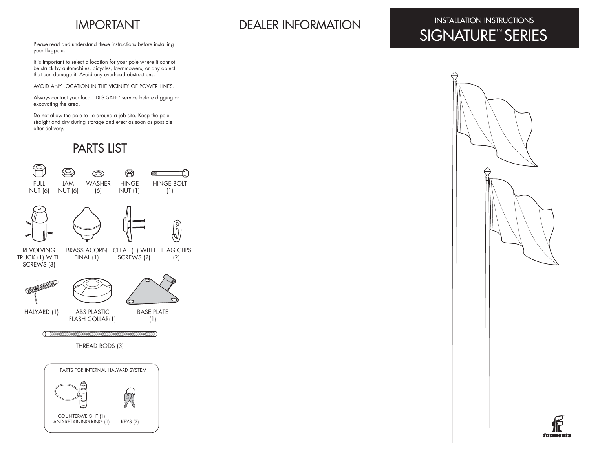Please read and understand these instructions before installing your flagpole.

It is important to select a location for your pole where it cannot be struck by automobiles, bicycles, lawnmowers, or any object that can damage it. Avoid any overhead obstructions.

AVOID ANY LOCATION IN THE VICINITY OF POWER LINES.

Always contact your local "DIG SAFE" service before digging or excavating the area.

Do not allow the pole to lie around a job site. Keep the pole straight and dry during storage and erect as soon as possible after delivery.

## PARTS LIST



# IMPORTANT DEALER INFORMATION

## INSTALLATION INSTRUCTIONS SIGNATURE™ SERIES